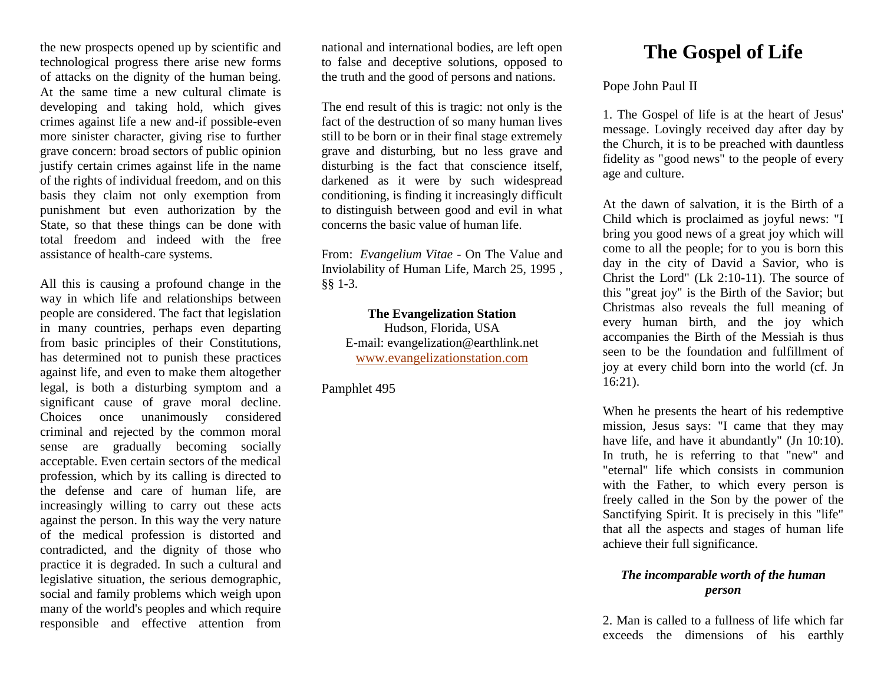the new prospects opened up by scientific and technological progress there arise new forms of attacks on the dignity of the human being. At the same time a new cultural climate is developing and taking hold, which gives crimes against life a new and-if possible-even more sinister character, giving rise to further grave concern: broad sectors of public opinion justify certain crimes against life in the name of the rights of individual freedom, and on this basis they claim not only exemption from punishment but even authorization by the State, so that these things can be done with total freedom and indeed with the free assistance of health-care systems.

All this is causing a profound change in the way in which life and relationships between people are considered. The fact that legislation in many countries, perhaps even departing from basic principles of their Constitutions, has determined not to punish these practices against life, and even to make them altogether legal, is both a disturbing symptom and a significant cause of grave moral decline. Choices once unanimously considered criminal and rejected by the common moral sense are gradually becoming socially acceptable. Even certain sectors of the medical profession, which by its calling is directed to the defense and care of human life, are increasingly willing to carry out these acts against the person. In this way the very nature of the medical profession is distorted and contradicted, and the dignity of those who practice it is degraded. In such a cultural and legislative situation, the serious demographic, social and family problems which weigh upon many of the world's peoples and which require responsible and effective attention from national and international bodies, are left open to false and deceptive solutions, opposed to the truth and the good of persons and nations.

The end result of this is tragic: not only is the fact of the destruction of so many human lives still to be born or in their final stage extremely grave and disturbing, but no less grave and disturbing is the fact that conscience itself, darkened as it were by such widespread conditioning, is finding it increasingly difficult to distinguish between good and evil in what concerns the basic value of human life.

From: *[Evangelium Vitae](http://www.victorclaveau.com/htm_html/Church%20Documents/Church%20Documents/Evangelium%20Vitae.htm)* - [On The Value and](http://www.victorclaveau.com/htm_html/Church%20Documents/Church%20Documents/Evangelium%20Vitae.htm)  Inviolability of Human Life, March 25, 1995 *,*  §§ 1-3.

**The Evangelization Station** Hudson, Florida, USA E-mail: evangelization@earthlink.net [www.evangelizationstation.com](http://www.pjpiisoe.org/)

Pamphlet 495

## **The Gospel of Life**

Pope John Paul II

1. The Gospel of life is at the heart of Jesus' message. Lovingly received day after day by the Church, it is to be preached with dauntless fidelity as "good news" to the people of every age and culture.

At the dawn of salvation, it is the Birth of a Child which is proclaimed as joyful news: "I bring you good news of a great joy which will come to all the people; for to you is born this day in the city of David a Savior, who is Christ the Lord" (Lk 2:10-11). The source of this "great joy" is the Birth of the Savior; but Christmas also reveals the full meaning of every human birth, and the joy which accompanies the Birth of the Messiah is thus seen to be the foundation and fulfillment of joy at every child born into the world (cf. Jn 16:21).

When he presents the heart of his redemptive mission, Jesus says: "I came that they may have life, and have it abundantly" (Jn 10:10). In truth, he is referring to that "new" and "eternal" life which consists in communion with the Father, to which every person is freely called in the Son by the power of the Sanctifying Spirit. It is precisely in this "life" that all the aspects and stages of human life achieve their full significance.

## *The incomparable worth of the human person*

2. Man is called to a fullness of life which far exceeds the dimensions of his earthly